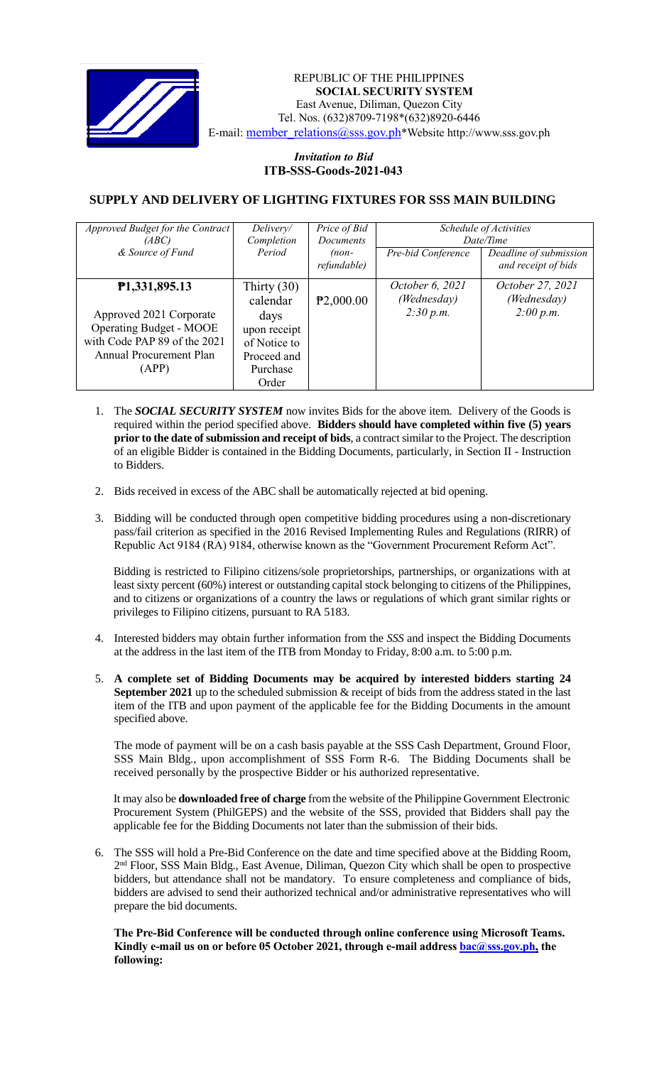

 *Invitation to Bid* REPUBLIC OF THE PHILIPPINES **SOCIAL SECURITY SYSTEM** East Avenue, Diliman, Quezon City Tel. Nos. (632)8709-7198\*(632)8920-6446 E-mail: [member\\_relations@sss.gov.ph](mailto:member_relations@sss.gov.ph)\*Website http://www.sss.gov.ph

## *Invitation to Bid*  **ITB-SSS-Goods-2021-043**

#### **SUPPLY AND DELIVERY OF LIGHTING FIXTURES FOR SSS MAIN BUILDING**

| Approved Budget for the Contract | Delivery/     | Price of Bid | Schedule of Activities<br>Date/Time |                        |
|----------------------------------|---------------|--------------|-------------------------------------|------------------------|
| (ABC)                            | Completion    | Documents    |                                     |                        |
| & Source of Fund                 | Period        | $(non-$      | Pre-bid Conference                  | Deadline of submission |
|                                  |               | refundable)  |                                     | and receipt of bids    |
| P1,331,895.13                    | Thirty $(30)$ |              | October 6, 2021                     | October 27, 2021       |
|                                  | calendar      | P2,000.00    | (Wednesday)                         | (Wednesday)            |
| Approved 2021 Corporate          | days          |              | 2:30 p.m.                           | 2:00 p.m.              |
| <b>Operating Budget - MOOE</b>   | upon receipt  |              |                                     |                        |
| with Code PAP 89 of the 2021     | of Notice to  |              |                                     |                        |
| Annual Procurement Plan          | Proceed and   |              |                                     |                        |
| (APP)                            | Purchase      |              |                                     |                        |
|                                  | Order         |              |                                     |                        |

- 1. The *SOCIAL SECURITY SYSTEM* now invites Bids for the above item. Delivery of the Goods is required within the period specified above. **Bidders should have completed within five (5) years prior to the date of submission and receipt of bids**, a contract similar to the Project. The description of an eligible Bidder is contained in the Bidding Documents, particularly, in Section II - Instruction to Bidders.
- 2. Bids received in excess of the ABC shall be automatically rejected at bid opening.
- 3. Bidding will be conducted through open competitive bidding procedures using a non-discretionary pass/fail criterion as specified in the 2016 Revised Implementing Rules and Regulations (RIRR) of Republic Act 9184 (RA) 9184, otherwise known as the "Government Procurement Reform Act".

Bidding is restricted to Filipino citizens/sole proprietorships, partnerships, or organizations with at least sixty percent (60%) interest or outstanding capital stock belonging to citizens of the Philippines, and to citizens or organizations of a country the laws or regulations of which grant similar rights or privileges to Filipino citizens, pursuant to RA 5183.

- 4. Interested bidders may obtain further information from the *SSS* and inspect the Bidding Documents at the address in the last item of the ITB from Monday to Friday, 8:00 a.m. to 5:00 p.m.
- 5. **A complete set of Bidding Documents may be acquired by interested bidders starting 24 September 2021** up to the scheduled submission & receipt of bids from the address stated in the last item of the ITB and upon payment of the applicable fee for the Bidding Documents in the amount specified above.

The mode of payment will be on a cash basis payable at the SSS Cash Department, Ground Floor, SSS Main Bldg., upon accomplishment of SSS Form R-6. The Bidding Documents shall be received personally by the prospective Bidder or his authorized representative.

It may also be **downloaded free of charge** from the website of the Philippine Government Electronic Procurement System (PhilGEPS) and the website of the SSS*,* provided that Bidders shall pay the applicable fee for the Bidding Documents not later than the submission of their bids.

6. The SSS will hold a Pre-Bid Conference on the date and time specified above at the Bidding Room, 2<sup>nd</sup> Floor, SSS Main Bldg., East Avenue, Diliman, Quezon City which shall be open to prospective bidders, but attendance shall not be mandatory. To ensure completeness and compliance of bids, bidders are advised to send their authorized technical and/or administrative representatives who will prepare the bid documents.

**The Pre-Bid Conference will be conducted through online conference using Microsoft Teams. Kindly e-mail us on or before 05 October 2021, through e-mail address [bac@sss.gov.ph,](mailto:bac@sss.gov.ph) the following:**